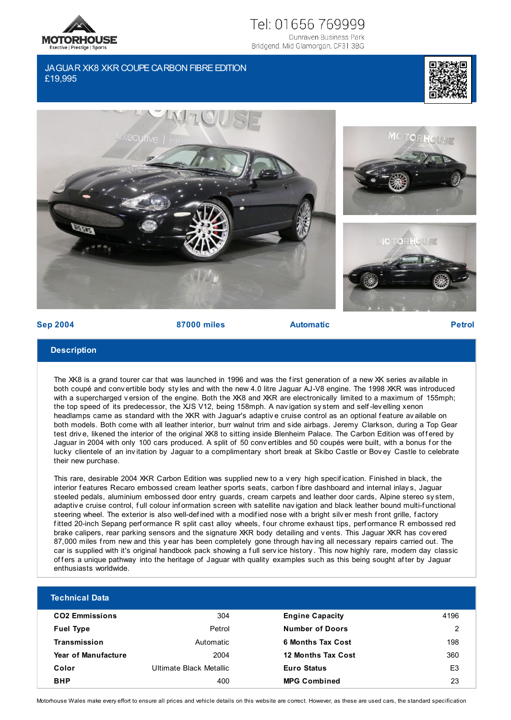

## Tel: 01656 769999 Dunraven Business Park

Bridgend, Mid Glamorgan, CF31 3BG

## JAGUAR XK8 XKR COUPE CARBON FIBRE EDITION £19,995









**Sep 2004 87000 miles Automatic Petrol**

## **Description**

The XK8 is a grand tourer car that was launched in 1996 and was the first generation of a new XK series av ailable in both coupé and conv ertible body sty les and with the new 4.0 litre Jaguar AJ-V8 engine. The 1998 XKR was introduced with a supercharged v ersion of the engine. Both the XK8 and XKR are electronically limited to a maximum of 155mph; the top speed of its predecessor, the XJS V12, being 158mph. A nav igation sy stem and self -lev elling xenon headlamps came as standard with the XKR with Jaguar's adaptive cruise control as an optional feature av ailable on both models. Both come with all leather interior, burr walnut trim and side airbags. Jeremy Clarkson, during a Top Gear test drive, likened the interior of the original XK8 to sitting inside Blenheim Palace. The Carbon Edition was of fered by Jaguar in 2004 with only 100 cars produced. A split of 50 conv ertibles and 50 coupés were built, with a bonus for the lucky clientele of an inv itation by Jaguar to a complimentary short break at Skibo Castle or Bov ey Castle to celebrate their new purchase.

This rare, desirable 2004 XKR Carbon Edition was supplied new to a v ery high specif ication. Finished in black, the interior features Recaro embossed cream leather sports seats, carbon fibre dashboard and internal inlays, Jaguar steeled pedals, aluminium embossed door entry guards, cream carpets and leather door cards, Alpine stereo sy stem, adaptive cruise control, full colour information screen with satellite navigation and black leather bound multi-functional steering wheel. The exterior is also well-def ined with a modif ied nose with a bright silv er mesh f ront grille, f actory f itted 20-inch Sepang perf ormance R split cast alloy wheels, f our chrome exhaust tips, perf ormance R embossed red brake calipers, rear parking sensors and the signature XKR body detailing and v ents. This Jaguar XKR has cov ered 87,000 miles f rom new and this y ear has been completely gone through hav ing all necessary repairs carried out. The car is supplied with it's original handbook pack showing a f ull serv ice history . This now highly rare, modern day classic of fers a unique pathway into the heritage of Jaguar with quality examples such as this being sought after by Jaguar enthusiasts worldwide.

| <b>Technical Data</b>      |                         |                           |                |
|----------------------------|-------------------------|---------------------------|----------------|
| <b>CO2 Emmissions</b>      | 304                     | <b>Engine Capacity</b>    | 4196           |
| <b>Fuel Type</b>           | Petrol                  | <b>Number of Doors</b>    | 2              |
| Transmission               | Automatic               | 6 Months Tax Cost         | 198            |
| <b>Year of Manufacture</b> | 2004                    | <b>12 Months Tax Cost</b> | 360            |
| Color                      | Ultimate Black Metallic | <b>Euro Status</b>        | E <sub>3</sub> |
| <b>BHP</b>                 | 400                     | <b>MPG Combined</b>       | 23             |

Motorhouse Wales make every effort to ensure all prices and vehicle details on this website are correct. However, as these are used cars, the standard specification